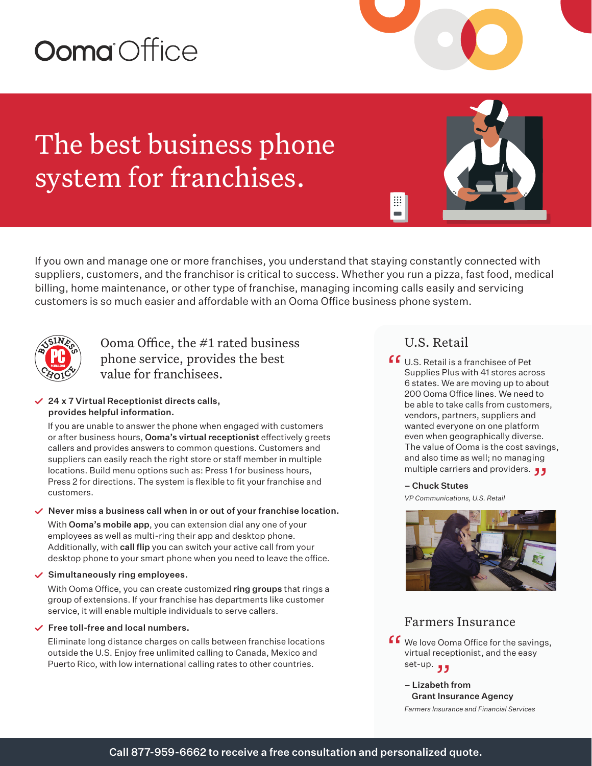# **Ooma** Office

The best business phone system for franchises.

If you own and manage one or more franchises, you understand that staying constantly connected with suppliers, customers, and the franchisor is critical to success. Whether you run a pizza, fast food, medical billing, home maintenance, or other type of franchise, managing incoming calls easily and servicing customers is so much easier and affordable with an Ooma Office business phone system.



Ooma Office, the #1 rated business phone service, provides the best value for franchisees.

#### $\angle$  24 x 7 Virtual Receptionist directs calls, provides helpful information.

If you are unable to answer the phone when engaged with customers or after business hours, Ooma's virtual receptionist effectively greets callers and provides answers to common questions. Customers and suppliers can easily reach the right store or staff member in multiple locations. Build menu options such as: Press 1 for business hours, Press 2 for directions. The system is flexible to fit your franchise and customers.

#### $\vee$  Never miss a business call when in or out of your franchise location.

With **Ooma's mobile app**, you can extension dial any one of your employees as well as multi-ring their app and desktop phone. Additionally, with call flip you can switch your active call from your desktop phone to your smart phone when you need to leave the office.

#### $\checkmark$  Simultaneously ring employees.

With Ooma Office, you can create customized ring groups that rings a group of extensions. If your franchise has departments like customer service, it will enable multiple individuals to serve callers.

#### $\checkmark$  Free toll-free and local numbers.

Eliminate long distance charges on calls between franchise locations outside the U.S. Enjoy free unlimited calling to Canada, Mexico and Puerto Rico, with low international calling rates to other countries.

## U.S. Retail

 $\mathbb{H}$ 

**f C** U.S. Retail is a franchisee of Pet<br>Supplies Plus with 41 stores acro Supplies Plus with 41 stores across 6 states. We are moving up to about 200 Ooma Office lines. We need to be able to take calls from customers, vendors, partners, suppliers and wanted everyone on one platform even when geographically diverse. The value of Ooma is the cost savings, and also time as well; no managing and also time as well; no managing<br>multiple carriers and providers. ڕ

#### – Chuck Stutes

*VP Communications, U.S. Retail* 



### Farmers Insurance

- **f** We love Ooma Office for the savings,<br>virtual receptionist, and the easy virtual receptionist, and the easy set-up. "
	- Lizabeth from Grant Insurance Agency *Farmers Insurance and Financial Services*